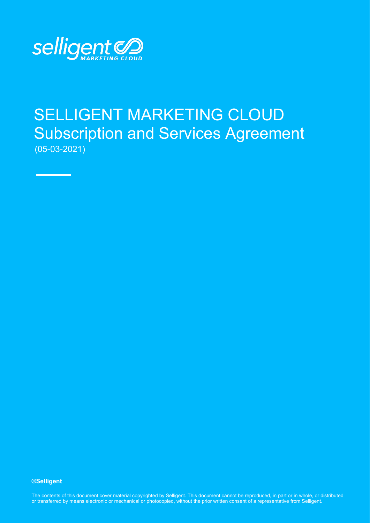

# SELLIGENT MARKETING CLOUD Subscription and Services Agreement (05-03-2021)

**©Selligent** 

The contents of this document cover material copyrighted by Selligent. This document cannot be reproduced, in part or in whole, or distributed or transferred by means electronic or mechanical or photocopied, without the prior written consent of a representative from Selligent.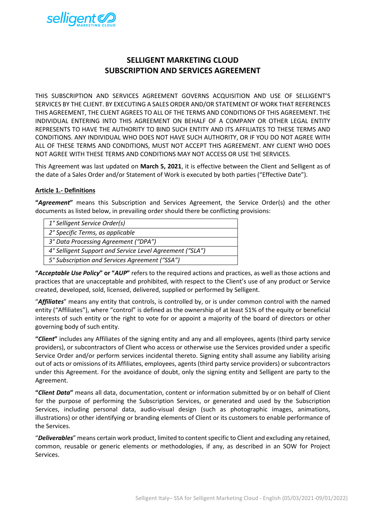

# **SELLIGENT MARKETING CLOUD SUBSCRIPTION AND SERVICES AGREEMENT**

THIS SUBSCRIPTION AND SERVICES AGREEMENT GOVERNS ACQUISITION AND USE OF SELLIGENT'S SERVICES BY THE CLIENT. BY EXECUTING A SALES ORDER AND/OR STATEMENT OF WORK THAT REFERENCES THIS AGREEMENT, THE CLIENT AGREES TO ALL OF THE TERMS AND CONDITIONS OF THIS AGREEMENT. THE INDIVIDUAL ENTERING INTO THIS AGREEMENT ON BEHALF OF A COMPANY OR OTHER LEGAL ENTITY REPRESENTS TO HAVE THE AUTHORITY TO BIND SUCH ENTITY AND ITS AFFILIATES TO THESE TERMS AND CONDITIONS. ANY INDIVIDUAL WHO DOES NOT HAVE SUCH AUTHORITY, OR IF YOU DO NOT AGREE WITH ALL OF THESE TERMS AND CONDITIONS, MUST NOT ACCEPT THIS AGREEMENT. ANY CLIENT WHO DOES NOT AGREE WITH THESE TERMS AND CONDITIONS MAY NOT ACCESS OR USE THE SERVICES.

This Agreement was last updated on **March 5, 2021**, it is effective between the Client and Selligent as of the date of a Sales Order and/or Statement of Work is executed by both parties ("Effective Date").

#### **Article 1.- Definitions**

**"***Agreement***"** means this Subscription and Services Agreement, the Service Order(s) and the other documents as listed below, in prevailing order should there be conflicting provisions:

| 1° Selligent Service Order(s)                            |
|----------------------------------------------------------|
| 2° Specific Terms, as applicable                         |
| 3° Data Processing Agreement ("DPA")                     |
| 4° Selligent Support and Service Level Agreement ("SLA") |
| 5° Subscription and Services Agreement ("SSA")           |

**"***Acceptable Use Policy***" or "***AUP***"** refers to the required actions and practices, as well as those actions and practices that are unacceptable and prohibited, with respect to the Client's use of any product or Service created, developed, sold, licensed, delivered, supplied or performed by Selligent.

"*Affiliates*" means any entity that controls, is controlled by, or is under common control with the named entity ("Affiliates"), where "control" is defined as the ownership of at least 51% of the equity or beneficial interests of such entity or the right to vote for or appoint a majority of the board of directors or other governing body of such entity.

**"***Client***"** includes any Affiliates of the signing entity and any and all employees, agents (third party service providers), or subcontractors of Client who access or otherwise use the Services provided under a specific Service Order and/or perform services incidental thereto. Signing entity shall assume any liability arising out of acts or omissions of its Affiliates, employees, agents (third party service providers) or subcontractors under this Agreement. For the avoidance of doubt, only the signing entity and Selligent are party to the Agreement.

**"***Client Data***"** means all data, documentation, content or information submitted by or on behalf of Client for the purpose of performing the Subscription Services, or generated and used by the Subscription Services, including personal data, audio-visual design (such as photographic images, animations, illustrations) or other identifying or branding elements of Client or its customers to enable performance of the Services.

"*Deliverables*" means certain work product, limited to content specific to Client and excluding any retained, common, reusable or generic elements or methodologies, if any, as described in an SOW for Project Services.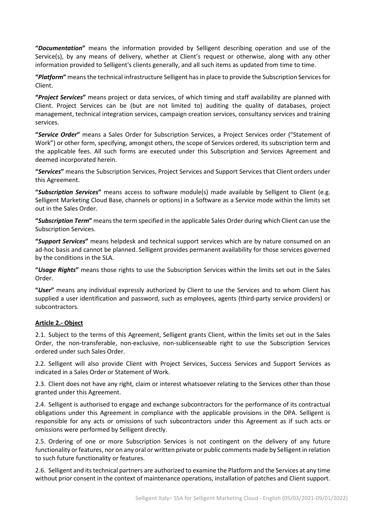**"***Documentation***"** means the information provided by Selligent describing operation and use of the Service(s), by any means of delivery, whether at Client's request or otherwise, along with any other information provided to Selligent's clients generally, and all such items as updated from time to time.

**"***Platform***"** means the technical infrastructure Selligent has in place to provide the Subscription Services for Client.

**"***Project Services***"** means project or data services, of which timing and staff availability are planned with Client. Project Services can be (but are not limited to) auditing the quality of databases, project management, technical integration services, campaign creation services, consultancy services and training services.

**"***Service Order***"** means a Sales Order for Subscription Services, a Project Services order ("Statement of Work") or other form, specifying, amongst others, the scope of Services ordered, its subscription term and the applicable fees. All such forms are executed under this Subscription and Services Agreement and deemed incorporated herein.

**"***Services***"** means the Subscription Services, Project Services and Support Services that Client orders under this Agreement.

**"***Subscription Services***"** means access to software module(s) made available by Selligent to Client (e.g. Selligent Marketing Cloud Base, channels or options) in a Software as a Service mode within the limits set out in the Sales Order.

**"***Subscription Term***"** means the term specified in the applicable Sales Order during which Client can use the Subscription Services.

**"***Support Services***"** means helpdesk and technical support services which are by nature consumed on an ad-hoc basis and cannot be planned. Selligent provides permanent availability for those services governed by the conditions in the SLA.

**"***Usage Rights***"** means those rights to use the Subscription Services within the limits set out in the Sales Order.

**"***User***"** means any individual expressly authorized by Client to use the Services and to whom Client has supplied a user identification and password, such as employees, agents (third-party service providers) or subcontractors.

# **Article 2.- Object**

2.1. Subject to the terms of this Agreement, Selligent grants Client, within the limits set out in the Sales Order, the non-transferable, non-exclusive, non-sublicenseable right to use the Subscription Services ordered under such Sales Order.

2.2. Selligent will also provide Client with Project Services, Success Services and Support Services as indicated in a Sales Order or Statement of Work.

2.3. Client does not have any right, claim or interest whatsoever relating to the Services other than those granted under this Agreement.

2.4. Selligent is authorised to engage and exchange subcontractors for the performance of its contractual obligations under this Agreement in compliance with the applicable provisions in the DPA. Selligent is responsible for any acts or omissions of such subcontractors under this Agreement as if such acts or omissions were performed by Selligent directly.

2.5. Ordering of one or more Subscription Services is not contingent on the delivery of any future functionality or features, nor on any oral or written private or public comments made by Selligent in relation to such future functionality or features.

2.6. Selligent and its technical partners are authorized to examine the Platform and the Services at any time without prior consent in the context of maintenance operations, installation of patches and Client support.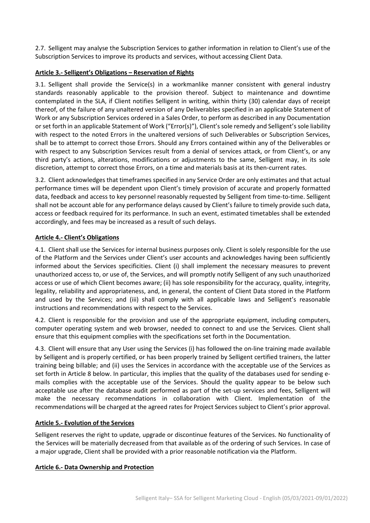2.7. Selligent may analyse the Subscription Services to gather information in relation to Client's use of the Subscription Services to improve its products and services, without accessing Client Data.

#### **Article 3.- Selligent's Obligations – Reservation of Rights**

3.1. Selligent shall provide the Service(s) in a workmanlike manner consistent with general industry standards reasonably applicable to the provision thereof. Subject to maintenance and downtime contemplated in the SLA, if Client notifies Selligent in writing, within thirty (30) calendar days of receipt thereof, of the failure of any unaltered version of any Deliverables specified in an applicable Statement of Work or any Subscription Services ordered in a Sales Order, to perform as described in any Documentation or set forth in an applicable Statement of Work ("Error(s)"), Client's sole remedy and Selligent's sole liability with respect to the noted Errors in the unaltered versions of such Deliverables or Subscription Services, shall be to attempt to correct those Errors. Should any Errors contained within any of the Deliverables or with respect to any Subscription Services result from a denial of services attack, or from Client's, or any third party's actions, alterations, modifications or adjustments to the same, Selligent may, in its sole discretion, attempt to correct those Errors, on a time and materials basis at its then-current rates.

3.2. Client acknowledges that timeframes specified in any Service Order are only estimates and that actual performance times will be dependent upon Client's timely provision of accurate and properly formatted data, feedback and access to key personnel reasonably requested by Selligent from time-to-time. Selligent shall not be account able for any performance delays caused by Client's failure to timely provide such data, access or feedback required for its performance. In such an event, estimated timetables shall be extended accordingly, and fees may be increased as a result of such delays.

# **Article 4.- Client's Obligations**

4.1. Client shall use the Services for internal business purposes only. Client is solely responsible for the use of the Platform and the Services under Client's user accounts and acknowledges having been sufficiently informed about the Services specificities. Client (i) shall implement the necessary measures to prevent unauthorized access to, or use of, the Services, and will promptly notify Selligent of any such unauthorized access or use of which Client becomes aware; (ii) has sole responsibility for the accuracy, quality, integrity, legality, reliability and appropriateness, and, in general, the content of Client Data stored in the Platform and used by the Services; and (iii) shall comply with all applicable laws and Selligent's reasonable instructions and recommendations with respect to the Services.

4.2. Client is responsible for the provision and use of the appropriate equipment, including computers, computer operating system and web browser, needed to connect to and use the Services. Client shall ensure that this equipment complies with the specifications set forth in the Documentation.

4.3. Client will ensure that any User using the Services (i) has followed the on-line training made available by Selligent and is properly certified, or has been properly trained by Selligent certified trainers, the latter training being billable; and (ii) uses the Services in accordance with the acceptable use of the Services as set forth in Article 8 below. In particular, this implies that the quality of the databases used for sending emails complies with the acceptable use of the Services. Should the quality appear to be below such acceptable use after the database audit performed as part of the set-up services and fees, Selligent will make the necessary recommendations in collaboration with Client. Implementation of the recommendations will be charged at the agreed rates for Project Services subject to Client's prior approval.

# **Article 5.- Evolution of the Services**

Selligent reserves the right to update, upgrade or discontinue features of the Services. No functionality of the Services will be materially decreased from that available as of the ordering of such Services. In case of a major upgrade, Client shall be provided with a prior reasonable notification via the Platform.

# **Article 6.- Data Ownership and Protection**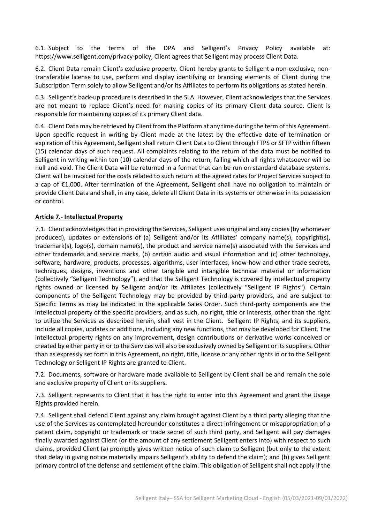6.1. Subject to the terms of the DPA and Selligent's Privacy Policy available at: https://www.selligent.com/privacy-policy, Client agrees that Selligent may process Client Data.

6.2. Client Data remain Client's exclusive property. Client hereby grants to Selligent a non-exclusive, nontransferable license to use, perform and display identifying or branding elements of Client during the Subscription Term solely to allow Selligent and/or its Affiliates to perform its obligations as stated herein.

6.3. Selligent's back-up procedure is described in the SLA. However, Client acknowledges that the Services are not meant to replace Client's need for making copies of its primary Client data source. Client is responsible for maintaining copies of its primary Client data.

6.4. Client Data may be retrieved by Client from the Platform at any time during the term of this Agreement. Upon specific request in writing by Client made at the latest by the effective date of termination or expiration of this Agreement, Selligent shall return Client Data to Client through FTPS or SFTP within fifteen (15) calendar days of such request. All complaints relating to the return of the data must be notified to Selligent in writing within ten (10) calendar days of the return, failing which all rights whatsoever will be null and void. The Client Data will be returned in a format that can be run on standard database systems. Client will be invoiced for the costs related to such return at the agreed rates for Project Services subject to a cap of €1,000. After termination of the Agreement, Selligent shall have no obligation to maintain or provide Client Data and shall, in any case, delete all Client Data in its systems or otherwise in its possession or control.

#### **Article 7.- Intellectual Property**

7.1. Client acknowledges that in providing the Services, Selligent uses original and any copies (by whomever produced), updates or extensions of (a) Selligent and/or its Affiliates' company name(s), copyright(s), trademark(s), logo(s), domain name(s), the product and service name(s) associated with the Services and other trademarks and service marks, (b) certain audio and visual information and (c) other technology, software, hardware, products, processes, algorithms, user interfaces, know-how and other trade secrets, techniques, designs, inventions and other tangible and intangible technical material or information (collectively "Selligent Technology"), and that the Selligent Technology is covered by intellectual property rights owned or licensed by Selligent and/or its Affiliates (collectively "Selligent IP Rights"). Certain components of the Selligent Technology may be provided by third-party providers, and are subject to Specific Terms as may be indicated in the applicable Sales Order. Such third-party components are the intellectual property of the specific providers, and as such, no right, title or interests, other than the right to utilize the Services as described herein, shall vest in the Client. Selligent IP Rights, and its suppliers, include all copies, updates or additions, including any new functions, that may be developed for Client. The intellectual property rights on any improvement, design contributions or derivative works conceived or created by either party in or to the Services will also be exclusively owned by Selligent or its suppliers. Other than as expressly set forth in this Agreement, no right, title, license or any other rights in or to the Selligent Technology or Selligent IP Rights are granted to Client.

7.2. Documents, software or hardware made available to Selligent by Client shall be and remain the sole and exclusive property of Client or its suppliers.

7.3. Selligent represents to Client that it has the right to enter into this Agreement and grant the Usage Rights provided herein.

7.4. Selligent shall defend Client against any claim brought against Client by a third party alleging that the use of the Services as contemplated hereunder constitutes a direct infringement or misappropriation of a patent claim, copyright or trademark or trade secret of such third party, and Selligent will pay damages finally awarded against Client (or the amount of any settlement Selligent enters into) with respect to such claims, provided Client (a) promptly gives written notice of such claim to Selligent (but only to the extent that delay in giving notice materially impairs Selligent's ability to defend the claim); and (b) gives Selligent primary control of the defense and settlement of the claim. This obligation of Selligent shall not apply if the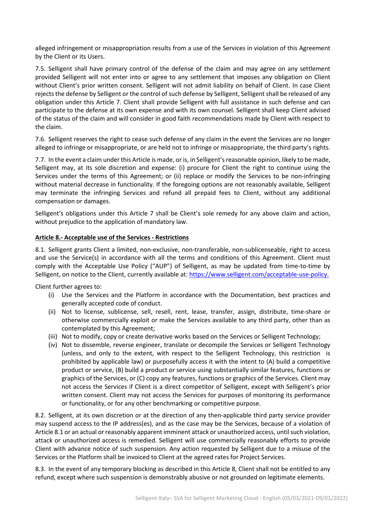alleged infringement or misappropriation results from a use of the Services in violation of this Agreement by the Client or its Users.

7.5. Selligent shall have primary control of the defense of the claim and may agree on any settlement provided Selligent will not enter into or agree to any settlement that imposes any obligation on Client without Client's prior written consent. Selligent will not admit liability on behalf of Client. In case Client rejects the defense by Selligent or the control of such defense by Selligent, Selligent shall be released of any obligation under this Article 7. Client shall provide Selligent with full assistance in such defense and can participate to the defense at its own expense and with its own counsel. Selligent shall keep Client advised of the status of the claim and will consider in good faith recommendations made by Client with respect to the claim.

7.6. Selligent reserves the right to cease such defense of any claim in the event the Services are no longer alleged to infringe or misappropriate, or are held not to infringe or misappropriate, the third party's rights.

7.7. In the event a claim under this Article is made, or is, in Selligent's reasonable opinion, likely to be made, Selligent may, at its sole discretion and expense: (i) procure for Client the right to continue using the Services under the terms of this Agreement; or (ii) replace or modify the Services to be non-infringing without material decrease in functionality. If the foregoing options are not reasonably available, Selligent may terminate the infringing Services and refund all prepaid fees to Client, without any additional compensation or damages.

Selligent's obligations under this Article 7 shall be Client's sole remedy for any above claim and action, without prejudice to the application of mandatory law.

#### **Article 8.- Acceptable use of the Services - Restrictions**

8.1. Selligent grants Client a limited, non-exclusive, non-transferable, non-sublicenseable, right to access and use the Service(s) in accordance with all the terms and conditions of this Agreement. Client must comply with the Acceptable Use Policy ("AUP") of Selligent, as may be updated from time-to-time by Selligent, on notice to the Client, currently available at[: https://www.selligent.com/acceptable-use-policy.](https://www.selligent.com/acceptable-use-policy)

Client further agrees to:

- (i) Use the Services and the Platform in accordance with the Documentation, best practices and generally accepted code of conduct.
- (ii) Not to license, sublicense, sell, resell, rent, lease, transfer, assign, distribute, time-share or otherwise commercially exploit or make the Services available to any third party, other than as contemplated by this Agreement;
- (iii) Not to modify, copy or create derivative works based on the Services or Selligent Technology;
- (iv) Not to dissemble, reverse engineer, translate or decompile the Services or Selligent Technology (unless, and only to the extent, with respect to the Selligent Technology, this restriction is prohibited by applicable law) or purposefully access it with the intent to (A) build a competitive product or service, (B) build a product or service using substantially similar features, functions or graphics of the Services, or (C) copy any features, functions or graphics of the Services. Client may not access the Services if Client is a direct competitor of Selligent, except with Selligent's prior written consent. Client may not access the Services for purposes of monitoring its performance or functionality, or for any other benchmarking or competitive purpose.

8.2. Selligent, at its own discretion or at the direction of any then-applicable third party service provider may suspend access to the IP address(es), and as the case may be the Services, because of a violation of Article 8.1 or an actual or reasonably apparent imminent attack or unauthorized access, until such violation, attack or unauthorized access is remedied. Selligent will use commercially reasonably efforts to provide Client with advance notice of such suspension. Any action requested by Selligent due to a misuse of the Services or the Platform shall be invoiced to Client at the agreed rates for Project Services.

8.3. In the event of any temporary blocking as described in this Article 8, Client shall not be entitled to any refund, except where such suspension is demonstrably abusive or not grounded on legitimate elements.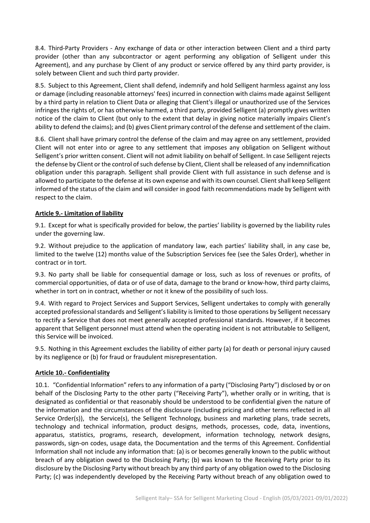8.4. Third-Party Providers - Any exchange of data or other interaction between Client and a third party provider (other than any subcontractor or agent performing any obligation of Selligent under this Agreement), and any purchase by Client of any product or service offered by any third party provider, is solely between Client and such third party provider.

8.5. Subject to this Agreement, Client shall defend, indemnify and hold Selligent harmless against any loss or damage (including reasonable attorneys' fees) incurred in connection with claims made against Selligent by a third party in relation to Client Data or alleging that Client's illegal or unauthorized use of the Services infringes the rights of, or has otherwise harmed, a third party, provided Selligent (a) promptly gives written notice of the claim to Client (but only to the extent that delay in giving notice materially impairs Client's ability to defend the claims); and (b) gives Client primary control of the defense and settlement of the claim.

8.6. Client shall have primary control the defense of the claim and may agree on any settlement, provided Client will not enter into or agree to any settlement that imposes any obligation on Selligent without Selligent's prior written consent. Client will not admit liability on behalf of Selligent. In case Selligent rejects the defense by Client or the control of such defense by Client, Clientshall be released of any indemnification obligation under this paragraph. Selligent shall provide Client with full assistance in such defense and is allowed to participate to the defense at its own expense and with its own counsel. Clientshall keep Selligent informed of the status of the claim and will consider in good faith recommendations made by Selligent with respect to the claim.

# **Article 9.- Limitation of liability**

9.1. Except for what is specifically provided for below, the parties' liability is governed by the liability rules under the governing law.

9.2. Without prejudice to the application of mandatory law, each parties' liability shall, in any case be, limited to the twelve (12) months value of the Subscription Services fee (see the Sales Order), whether in contract or in tort.

9.3. No party shall be liable for consequential damage or loss, such as loss of revenues or profits, of commercial opportunities, of data or of use of data, damage to the brand or know-how, third party claims, whether in tort on in contract, whether or not it knew of the possibility of such loss.

9.4. With regard to Project Services and Support Services, Selligent undertakes to comply with generally accepted professional standards and Selligent's liability is limited to those operations by Selligent necessary to rectify a Service that does not meet generally accepted professional standards. However, if it becomes apparent that Selligent personnel must attend when the operating incident is not attributable to Selligent, this Service will be invoiced.

9.5. Nothing in this Agreement excludes the liability of either party (a) for death or personal injury caused by its negligence or (b) for fraud or fraudulent misrepresentation.

# **Article 10.- Confidentiality**

10.1. "Confidential Information" refers to any information of a party ("Disclosing Party") disclosed by or on behalf of the Disclosing Party to the other party ("Receiving Party"), whether orally or in writing, that is designated as confidential or that reasonably should be understood to be confidential given the nature of the information and the circumstances of the disclosure (including pricing and other terms reflected in all Service Order(s)), the Service(s), the Selligent Technology, business and marketing plans, trade secrets, technology and technical information, product designs, methods, processes, code, data, inventions, apparatus, statistics, programs, research, development, information technology, network designs, passwords, sign-on codes, usage data, the Documentation and the terms of this Agreement. Confidential Information shall not include any information that: (a) is or becomes generally known to the public without breach of any obligation owed to the Disclosing Party; (b) was known to the Receiving Party prior to its disclosure by the Disclosing Party without breach by any third party of any obligation owed to the Disclosing Party; (c) was independently developed by the Receiving Party without breach of any obligation owed to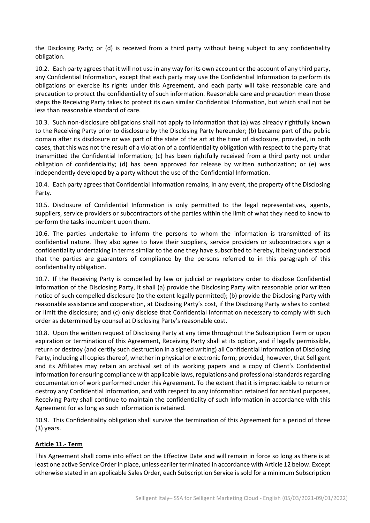the Disclosing Party; or (d) is received from a third party without being subject to any confidentiality obligation.

10.2. Each party agrees that it will not use in any way for its own account or the account of any third party, any Confidential Information, except that each party may use the Confidential Information to perform its obligations or exercise its rights under this Agreement, and each party will take reasonable care and precaution to protect the confidentiality of such information. Reasonable care and precaution mean those steps the Receiving Party takes to protect its own similar Confidential Information, but which shall not be less than reasonable standard of care.

10.3. Such non-disclosure obligations shall not apply to information that (a) was already rightfully known to the Receiving Party prior to disclosure by the Disclosing Party hereunder; (b) became part of the public domain after its disclosure or was part of the state of the art at the time of disclosure, provided, in both cases, that this was not the result of a violation of a confidentiality obligation with respect to the party that transmitted the Confidential Information; (c) has been rightfully received from a third party not under obligation of confidentiality; (d) has been approved for release by written authorization; or (e) was independently developed by a party without the use of the Confidential Information.

10.4. Each party agrees that Confidential Information remains, in any event, the property of the Disclosing Party.

10.5. Disclosure of Confidential Information is only permitted to the legal representatives, agents, suppliers, service providers or subcontractors of the parties within the limit of what they need to know to perform the tasks incumbent upon them.

10.6. The parties undertake to inform the persons to whom the information is transmitted of its confidential nature. They also agree to have their suppliers, service providers or subcontractors sign a confidentiality undertaking in terms similar to the one they have subscribed to hereby, it being understood that the parties are guarantors of compliance by the persons referred to in this paragraph of this confidentiality obligation.

10.7. If the Receiving Party is compelled by law or judicial or regulatory order to disclose Confidential Information of the Disclosing Party, it shall (a) provide the Disclosing Party with reasonable prior written notice of such compelled disclosure (to the extent legally permitted); (b) provide the Disclosing Party with reasonable assistance and cooperation, at Disclosing Party's cost, if the Disclosing Party wishes to contest or limit the disclosure; and (c) only disclose that Confidential Information necessary to comply with such order as determined by counsel at Disclosing Party's reasonable cost.

10.8. Upon the written request of Disclosing Party at any time throughout the Subscription Term or upon expiration or termination of this Agreement, Receiving Party shall at its option, and if legally permissible, return or destroy (and certify such destruction in a signed writing) all Confidential Information of Disclosing Party, including all copies thereof, whether in physical or electronic form; provided, however, that Selligent and its Affiliates may retain an archival set of its working papers and a copy of Client's Confidential Information for ensuring compliance with applicable laws, regulations and professional standards regarding documentation of work performed under this Agreement. To the extent that it is impracticable to return or destroy any Confidential Information, and with respect to any information retained for archival purposes, Receiving Party shall continue to maintain the confidentiality of such information in accordance with this Agreement for as long as such information is retained.

10.9. This Confidentiality obligation shall survive the termination of this Agreement for a period of three (3) years.

# **Article 11.- Term**

This Agreement shall come into effect on the Effective Date and will remain in force so long as there is at least one active Service Orderin place, unless earlier terminated in accordance with Article 12 below. Except otherwise stated in an applicable Sales Order, each Subscription Service is sold for a minimum Subscription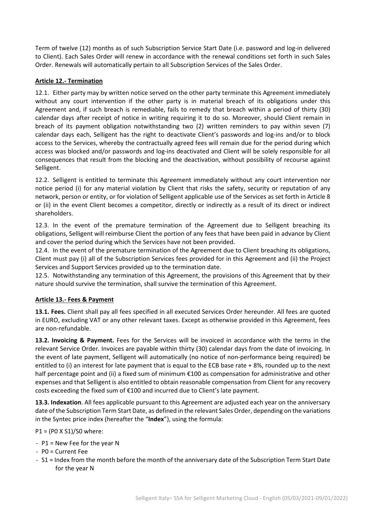Term of twelve (12) months as of such Subscription Service Start Date (i.e. password and log-in delivered to Client). Each Sales Order will renew in accordance with the renewal conditions set forth in such Sales Order. Renewals will automatically pertain to all Subscription Services of the Sales Order.

# **Article 12.- Termination**

12.1. Either party may by written notice served on the other party terminate this Agreement immediately without any court intervention if the other party is in material breach of its obligations under this Agreement and, if such breach is remediable, fails to remedy that breach within a period of thirty (30) calendar days after receipt of notice in writing requiring it to do so. Moreover, should Client remain in breach of its payment obligation notwithstanding two (2) written reminders to pay within seven (7) calendar days each, Selligent has the right to deactivate Client's passwords and log-ins and/or to block access to the Services, whereby the contractually agreed fees will remain due for the period during which access was blocked and/or passwords and log-ins deactivated and Client will be solely responsible for all consequences that result from the blocking and the deactivation, without possibility of recourse against Selligent.

12.2. Selligent is entitled to terminate this Agreement immediately without any court intervention nor notice period (i) for any material violation by Client that risks the safety, security or reputation of any network, person or entity, or for violation of Selligent applicable use of the Services as set forth in Article 8 or (ii) in the event Client becomes a competitor, directly or indirectly as a result of its direct or indirect shareholders.

12.3. In the event of the premature termination of the Agreement due to Selligent breaching its obligations, Selligent will reimburse Client the portion of any fees that have been paid in advance by Client and cover the period during which the Services have not been provided.

12.4. In the event of the premature termination of the Agreement due to Client breaching its obligations, Client must pay (i) all of the Subscription Services fees provided for in this Agreement and (ii) the Project Services and Support Services provided up to the termination date.

12.5. Notwithstanding any termination of this Agreement, the provisions of this Agreement that by their nature should survive the termination, shall survive the termination of this Agreement.

# **Article 13.- Fees & Payment**

**13.1. Fees.** Client shall pay all fees specified in all executed Services Order hereunder. All fees are quoted in EURO, excluding VAT or any other relevant taxes. Except as otherwise provided in this Agreement, fees are non-refundable.

**13.2. Invoicing & Payment.** Fees for the Services will be invoiced in accordance with the terms in the relevant Service Order. Invoices are payable within thirty (30) calendar days from the date of invoicing. In the event of late payment, Selligent will automatically (no notice of non-performance being required) be entitled to (i) an interest for late payment that is equal to the ECB base rate + 8%, rounded up to the next half percentage point and (ii) a fixed sum of minimum €100 as compensation for administrative and other expenses and that Selligent is also entitled to obtain reasonable compensation from Client for any recovery costs exceeding the fixed sum of €100 and incurred due to Client's late payment.

**13.3. Indexation**. All fees applicable pursuant to this Agreement are adjusted each year on the anniversary date of the Subscription Term Start Date, as defined in the relevant Sales Order, depending on the variations in the Syntec price index (hereafter the "**Index**"), using the formula:

P1 = (P0 X S1)/S0 where:

- P1 = New Fee for the year N
- P0 = Current Fee
- S1 = Index from the month before the month of the anniversary date of the Subscription Term Start Date for the year N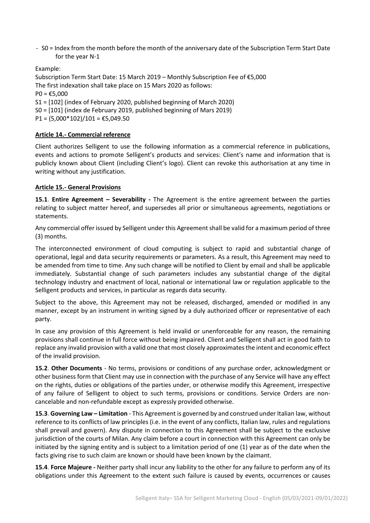- S0 = Index from the month before the month of the anniversary date of the Subscription Term Start Date for the year N-1

Example:

Subscription Term Start Date: 15 March 2019 – Monthly Subscription Fee of €5,000 The first indexation shall take place on 15 Mars 2020 as follows:  $PO = £5,000$ S1 = [102] (index of February 2020, published beginning of March 2020) S0 = [101] (index de February 2019, published beginning of Mars 2019)  $P1 = (5,000*102)/101 = \text{\textsterling}5,049.50$ 

**Article 14.- Commercial reference**

Client authorizes Selligent to use the following information as a commercial reference in publications, events and actions to promote Selligent's products and services: Client's name and information that is publicly known about Client (including Client's logo). Client can revoke this authorisation at any time in writing without any justification.

#### **Article 15.- General Provisions**

**15.1**. **Entire Agreement – Severability -** The Agreement is the entire agreement between the parties relating to subject matter hereof, and supersedes all prior or simultaneous agreements, negotiations or statements.

Any commercial offer issued by Selligent under this Agreement shall be valid for a maximum period of three (3) months.

The interconnected environment of cloud computing is subject to rapid and substantial change of operational, legal and data security requirements or parameters. As a result, this Agreement may need to be amended from time to time. Any such change will be notified to Client by email and shall be applicable immediately. Substantial change of such parameters includes any substantial change of the digital technology industry and enactment of local, national or international law or regulation applicable to the Selligent products and services, in particular as regards data security.

Subject to the above, this Agreement may not be released, discharged, amended or modified in any manner, except by an instrument in writing signed by a duly authorized officer or representative of each party.

In case any provision of this Agreement is held invalid or unenforceable for any reason, the remaining provisions shall continue in full force without being impaired. Client and Selligent shall act in good faith to replace any invalid provision with a valid one that most closely approximates the intent and economic effect of the invalid provision.

**15.2**. **Other Documents** - No terms, provisions or conditions of any purchase order, acknowledgment or other business form that Client may use in connection with the purchase of any Service will have any effect on the rights, duties or obligations of the parties under, or otherwise modify this Agreement, irrespective of any failure of Selligent to object to such terms, provisions or conditions. Service Orders are noncancelable and non-refundable except as expressly provided otherwise.

**15.3**. **Governing Law – Limitation** - This Agreement is governed by and construed under Italian law, without reference to its conflicts of law principles (i.e. in the event of any conflicts, Italian law, rules and regulations shall prevail and govern). Any dispute in connection to this Agreement shall be subject to the exclusive jurisdiction of the courts of Milan. Any claim before a court in connection with this Agreement can only be initiated by the signing entity and is subject to a limitation period of one (1) year as of the date when the facts giving rise to such claim are known or should have been known by the claimant.

**15.4**. **Force Majeure -** Neither party shall incur any liability to the other for any failure to perform any of its obligations under this Agreement to the extent such failure is caused by events, occurrences or causes